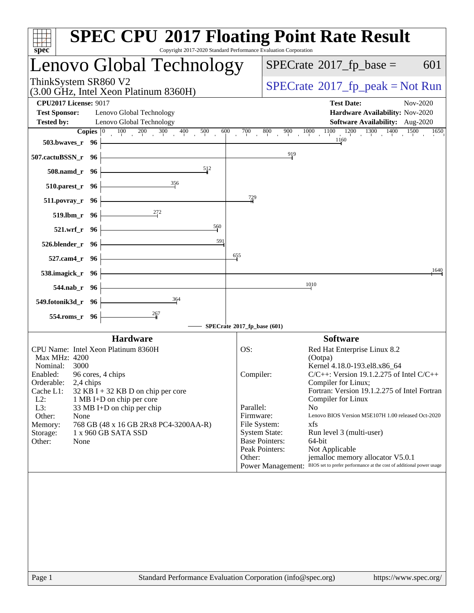| Lenovo Global Technology<br>$SPECrate^{\circ}2017$ _fp_base =<br>ThinkSystem SR860 V2<br>(3.00 GHz, Intel Xeon Platinum 8360H)<br><b>CPU2017 License: 9017</b><br><b>Test Date:</b><br>Nov-2020<br><b>Test Sponsor:</b><br>Lenovo Global Technology<br>Hardware Availability: Nov-2020<br>Lenovo Global Technology<br><b>Tested by:</b><br><b>Software Availability:</b> Aug-2020<br><b>Copies</b> $\begin{bmatrix} 0 & 100 & 200 & 300 & 400 & 500 \end{bmatrix}$<br>$1000$ $1100$ $1200$ $1300$ $1400$ $1500$<br>600<br>$\overline{700}$<br>800<br>900<br>1160<br>503.bwaves_r 96<br>919<br>507.cactuBSSN_r 96<br>512<br>508.namd_r 96<br>356<br>510.parest_r 96<br>$\frac{729}{4}$<br>511.povray_r 96<br>519.lbm_r 96<br>560<br>521.wrf_r 96<br>591<br>526.blender_r 96<br>655<br>527.cam4_r 96<br>538.imagick_r 96<br>1010<br>544.nab_r 96<br>364<br>549.fotonik3d_r 96<br>267<br>554.roms_r 96<br>SPECrate®2017_fp_base (601)<br><b>Hardware</b><br><b>Software</b><br>CPU Name: Intel Xeon Platinum 8360H<br>OS:<br>Red Hat Enterprise Linux 8.2<br>Max MHz: 4200<br>(Ootpa)<br>Nominal:<br>3000<br>Kernel 4.18.0-193.el8.x86_64<br>$C/C++$ : Version 19.1.2.275 of Intel $C/C++$<br>96 cores, 4 chips<br>Enabled:<br>Compiler:<br>Orderable:<br>Compiler for Linux;<br>2,4 chips<br>Cache L1:<br>32 KB I + 32 KB D on chip per core<br>$L2$ :<br>Compiler for Linux<br>1 MB I+D on chip per core<br>L3:<br>Parallel:<br>N <sub>o</sub><br>33 MB I+D on chip per chip<br>Firmware:<br>Other:<br>None<br>768 GB (48 x 16 GB 2Rx8 PC4-3200AA-R)<br>File System:<br>xfs<br>Memory:<br><b>System State:</b><br>1 x 960 GB SATA SSD<br>Run level 3 (multi-user)<br>Storage:<br><b>Base Pointers:</b><br>64-bit<br>Other:<br>None<br>Peak Pointers:<br>Not Applicable<br>Other:<br>jemalloc memory allocator V5.0.1 | spec <sup>®</sup> | <b>SPEC CPU®2017 Floating Point Rate Result</b><br>Copyright 2017-2020 Standard Performance Evaluation Corporation                                                                           |
|---------------------------------------------------------------------------------------------------------------------------------------------------------------------------------------------------------------------------------------------------------------------------------------------------------------------------------------------------------------------------------------------------------------------------------------------------------------------------------------------------------------------------------------------------------------------------------------------------------------------------------------------------------------------------------------------------------------------------------------------------------------------------------------------------------------------------------------------------------------------------------------------------------------------------------------------------------------------------------------------------------------------------------------------------------------------------------------------------------------------------------------------------------------------------------------------------------------------------------------------------------------------------------------------------------------------------------------------------------------------------------------------------------------------------------------------------------------------------------------------------------------------------------------------------------------------------------------------------------------------------------------------------------------------------------------------------------------------------------------------------------------------------------------------------------------------|-------------------|----------------------------------------------------------------------------------------------------------------------------------------------------------------------------------------------|
|                                                                                                                                                                                                                                                                                                                                                                                                                                                                                                                                                                                                                                                                                                                                                                                                                                                                                                                                                                                                                                                                                                                                                                                                                                                                                                                                                                                                                                                                                                                                                                                                                                                                                                                                                                                                                     |                   | 601                                                                                                                                                                                          |
|                                                                                                                                                                                                                                                                                                                                                                                                                                                                                                                                                                                                                                                                                                                                                                                                                                                                                                                                                                                                                                                                                                                                                                                                                                                                                                                                                                                                                                                                                                                                                                                                                                                                                                                                                                                                                     |                   | $SPECrate^{\circ}2017rfp peak = Not Run$                                                                                                                                                     |
|                                                                                                                                                                                                                                                                                                                                                                                                                                                                                                                                                                                                                                                                                                                                                                                                                                                                                                                                                                                                                                                                                                                                                                                                                                                                                                                                                                                                                                                                                                                                                                                                                                                                                                                                                                                                                     |                   |                                                                                                                                                                                              |
|                                                                                                                                                                                                                                                                                                                                                                                                                                                                                                                                                                                                                                                                                                                                                                                                                                                                                                                                                                                                                                                                                                                                                                                                                                                                                                                                                                                                                                                                                                                                                                                                                                                                                                                                                                                                                     |                   | 1650                                                                                                                                                                                         |
|                                                                                                                                                                                                                                                                                                                                                                                                                                                                                                                                                                                                                                                                                                                                                                                                                                                                                                                                                                                                                                                                                                                                                                                                                                                                                                                                                                                                                                                                                                                                                                                                                                                                                                                                                                                                                     |                   |                                                                                                                                                                                              |
|                                                                                                                                                                                                                                                                                                                                                                                                                                                                                                                                                                                                                                                                                                                                                                                                                                                                                                                                                                                                                                                                                                                                                                                                                                                                                                                                                                                                                                                                                                                                                                                                                                                                                                                                                                                                                     |                   |                                                                                                                                                                                              |
|                                                                                                                                                                                                                                                                                                                                                                                                                                                                                                                                                                                                                                                                                                                                                                                                                                                                                                                                                                                                                                                                                                                                                                                                                                                                                                                                                                                                                                                                                                                                                                                                                                                                                                                                                                                                                     |                   |                                                                                                                                                                                              |
|                                                                                                                                                                                                                                                                                                                                                                                                                                                                                                                                                                                                                                                                                                                                                                                                                                                                                                                                                                                                                                                                                                                                                                                                                                                                                                                                                                                                                                                                                                                                                                                                                                                                                                                                                                                                                     |                   |                                                                                                                                                                                              |
|                                                                                                                                                                                                                                                                                                                                                                                                                                                                                                                                                                                                                                                                                                                                                                                                                                                                                                                                                                                                                                                                                                                                                                                                                                                                                                                                                                                                                                                                                                                                                                                                                                                                                                                                                                                                                     |                   |                                                                                                                                                                                              |
|                                                                                                                                                                                                                                                                                                                                                                                                                                                                                                                                                                                                                                                                                                                                                                                                                                                                                                                                                                                                                                                                                                                                                                                                                                                                                                                                                                                                                                                                                                                                                                                                                                                                                                                                                                                                                     |                   |                                                                                                                                                                                              |
|                                                                                                                                                                                                                                                                                                                                                                                                                                                                                                                                                                                                                                                                                                                                                                                                                                                                                                                                                                                                                                                                                                                                                                                                                                                                                                                                                                                                                                                                                                                                                                                                                                                                                                                                                                                                                     |                   | 1640                                                                                                                                                                                         |
|                                                                                                                                                                                                                                                                                                                                                                                                                                                                                                                                                                                                                                                                                                                                                                                                                                                                                                                                                                                                                                                                                                                                                                                                                                                                                                                                                                                                                                                                                                                                                                                                                                                                                                                                                                                                                     |                   |                                                                                                                                                                                              |
|                                                                                                                                                                                                                                                                                                                                                                                                                                                                                                                                                                                                                                                                                                                                                                                                                                                                                                                                                                                                                                                                                                                                                                                                                                                                                                                                                                                                                                                                                                                                                                                                                                                                                                                                                                                                                     |                   |                                                                                                                                                                                              |
|                                                                                                                                                                                                                                                                                                                                                                                                                                                                                                                                                                                                                                                                                                                                                                                                                                                                                                                                                                                                                                                                                                                                                                                                                                                                                                                                                                                                                                                                                                                                                                                                                                                                                                                                                                                                                     |                   |                                                                                                                                                                                              |
|                                                                                                                                                                                                                                                                                                                                                                                                                                                                                                                                                                                                                                                                                                                                                                                                                                                                                                                                                                                                                                                                                                                                                                                                                                                                                                                                                                                                                                                                                                                                                                                                                                                                                                                                                                                                                     |                   |                                                                                                                                                                                              |
|                                                                                                                                                                                                                                                                                                                                                                                                                                                                                                                                                                                                                                                                                                                                                                                                                                                                                                                                                                                                                                                                                                                                                                                                                                                                                                                                                                                                                                                                                                                                                                                                                                                                                                                                                                                                                     |                   | Fortran: Version 19.1.2.275 of Intel Fortran<br>Lenovo BIOS Version M5E107H 1.00 released Oct-2020<br>Power Management: BIOS set to prefer performance at the cost of additional power usage |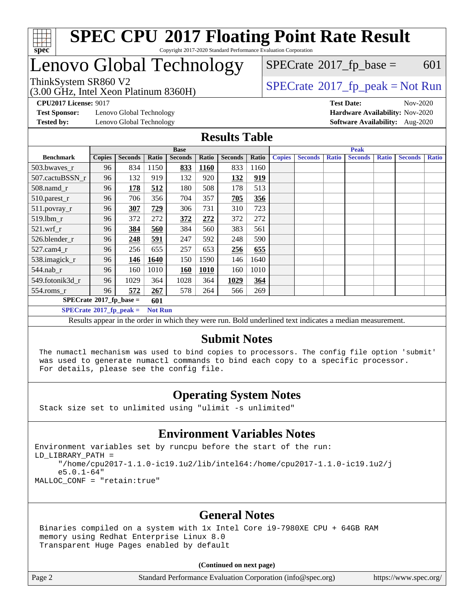

# Lenovo Global Technology

(3.00 GHz, Intel Xeon Platinum 8360H)

 $SPECTate$ <sup>®</sup>[2017\\_fp\\_base =](http://www.spec.org/auto/cpu2017/Docs/result-fields.html#SPECrate2017fpbase) 601

### ThinkSystem SR860 V2<br>  $\begin{array}{c} \text{75} \\ \text{88} \\ \text{89} \\ \text{89} \\ \text{80} \\ \text{80} \\ \text{80} \\ \text{81} \\ \text{81} \\ \text{82} \\ \text{81} \\ \text{82} \\ \text{83} \\ \text{84} \\ \text{84} \\ \text{85} \\ \text{86} \\ \text{87} \\ \text{88} \\ \text{89} \\ \text{89} \\ \text{80} \\ \text{80} \\ \text{81} \\ \text{82} \\ \text{83} \\ \text{84} \\ \text$

**[CPU2017 License:](http://www.spec.org/auto/cpu2017/Docs/result-fields.html#CPU2017License)** 9017 **[Test Date:](http://www.spec.org/auto/cpu2017/Docs/result-fields.html#TestDate)** Nov-2020

**[Test Sponsor:](http://www.spec.org/auto/cpu2017/Docs/result-fields.html#TestSponsor)** Lenovo Global Technology **[Hardware Availability:](http://www.spec.org/auto/cpu2017/Docs/result-fields.html#HardwareAvailability)** Nov-2020

**[Tested by:](http://www.spec.org/auto/cpu2017/Docs/result-fields.html#Testedby)** Lenovo Global Technology **[Software Availability:](http://www.spec.org/auto/cpu2017/Docs/result-fields.html#SoftwareAvailability)** Aug-2020

### **[Results Table](http://www.spec.org/auto/cpu2017/Docs/result-fields.html#ResultsTable)**

|                                              | <b>Base</b>   |                |       |                |             | <b>Peak</b>    |       |               |                |              |                |              |                |              |
|----------------------------------------------|---------------|----------------|-------|----------------|-------------|----------------|-------|---------------|----------------|--------------|----------------|--------------|----------------|--------------|
| <b>Benchmark</b>                             | <b>Copies</b> | <b>Seconds</b> | Ratio | <b>Seconds</b> | Ratio       | <b>Seconds</b> | Ratio | <b>Copies</b> | <b>Seconds</b> | <b>Ratio</b> | <b>Seconds</b> | <b>Ratio</b> | <b>Seconds</b> | <b>Ratio</b> |
| 503.bwaves_r                                 | 96            | 834            | 1150  | 833            | <b>1160</b> | 833            | 1160  |               |                |              |                |              |                |              |
| 507.cactuBSSN r                              | 96            | 132            | 919   | 132            | 920         | 132            | 919   |               |                |              |                |              |                |              |
| $508$ .namd $r$                              | 96            | 178            | 512   | 180            | 508         | 178            | 513   |               |                |              |                |              |                |              |
| 510.parest_r                                 | 96            | 706            | 356   | 704            | 357         | 705            | 356   |               |                |              |                |              |                |              |
| 511.povray_r                                 | 96            | 307            | 729   | 306            | 731         | 310            | 723   |               |                |              |                |              |                |              |
| 519.lbm r                                    | 96            | 372            | 272   | 372            | 272         | 372            | 272   |               |                |              |                |              |                |              |
| $521$ .wrf r                                 | 96            | 384            | 560   | 384            | 560         | 383            | 561   |               |                |              |                |              |                |              |
| 526.blender r                                | 96            | 248            | 591   | 247            | 592         | 248            | 590   |               |                |              |                |              |                |              |
| $527.cam4_r$                                 | 96            | 256            | 655   | 257            | 653         | 256            | 655   |               |                |              |                |              |                |              |
| 538.imagick_r                                | 96            | 146            | 1640  | 150            | 1590        | 146            | 1640  |               |                |              |                |              |                |              |
| 544.nab r                                    | 96            | 160            | 1010  | 160            | 1010        | 160            | 1010  |               |                |              |                |              |                |              |
| 549.fotonik3d r                              | 96            | 1029           | 364   | 1028           | 364         | 1029           | 364   |               |                |              |                |              |                |              |
| $554$ .roms $r$                              | 96            | 572            | 267   | 578            | 264         | 566            | 269   |               |                |              |                |              |                |              |
| $SPECrate*2017_fp\_base =$<br>601            |               |                |       |                |             |                |       |               |                |              |                |              |                |              |
| $SPECrate^*2017_fp_peak =$<br><b>Not Run</b> |               |                |       |                |             |                |       |               |                |              |                |              |                |              |

Results appear in the [order in which they were run](http://www.spec.org/auto/cpu2017/Docs/result-fields.html#RunOrder). Bold underlined text [indicates a median measurement.](http://www.spec.org/auto/cpu2017/Docs/result-fields.html#Median)

### **[Submit Notes](http://www.spec.org/auto/cpu2017/Docs/result-fields.html#SubmitNotes)**

 The numactl mechanism was used to bind copies to processors. The config file option 'submit' was used to generate numactl commands to bind each copy to a specific processor. For details, please see the config file.

### **[Operating System Notes](http://www.spec.org/auto/cpu2017/Docs/result-fields.html#OperatingSystemNotes)**

Stack size set to unlimited using "ulimit -s unlimited"

### **[Environment Variables Notes](http://www.spec.org/auto/cpu2017/Docs/result-fields.html#EnvironmentVariablesNotes)**

Environment variables set by runcpu before the start of the run: LD\_LIBRARY\_PATH = "/home/cpu2017-1.1.0-ic19.1u2/lib/intel64:/home/cpu2017-1.1.0-ic19.1u2/j e5.0.1-64" MALLOC\_CONF = "retain:true"

### **[General Notes](http://www.spec.org/auto/cpu2017/Docs/result-fields.html#GeneralNotes)**

 Binaries compiled on a system with 1x Intel Core i9-7980XE CPU + 64GB RAM memory using Redhat Enterprise Linux 8.0 Transparent Huge Pages enabled by default

#### **(Continued on next page)**

Page 2 Standard Performance Evaluation Corporation [\(info@spec.org\)](mailto:info@spec.org) <https://www.spec.org/>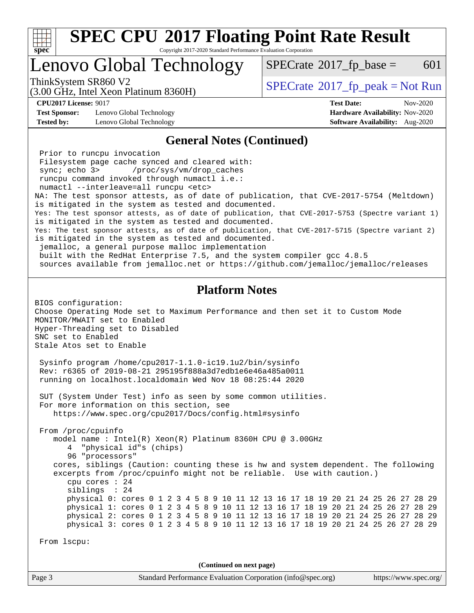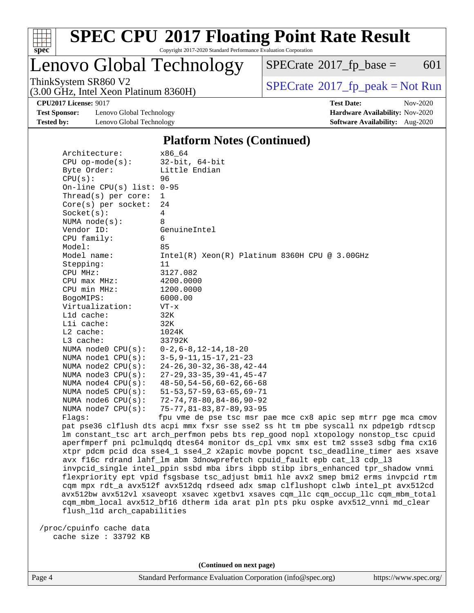

## Lenovo Global Technology

 $SPECTate$ <sup>®</sup>[2017\\_fp\\_base =](http://www.spec.org/auto/cpu2017/Docs/result-fields.html#SPECrate2017fpbase) 601

(3.00 GHz, Intel Xeon Platinum 8360H)

ThinkSystem SR860 V2<br>(3.00 GHz, Intel Yogn Platinum 8360H)  $SPECrate@2017_fp\_peak = Not Run$  $SPECrate@2017_fp\_peak = Not Run$ 

**[Test Sponsor:](http://www.spec.org/auto/cpu2017/Docs/result-fields.html#TestSponsor)** Lenovo Global Technology **[Hardware Availability:](http://www.spec.org/auto/cpu2017/Docs/result-fields.html#HardwareAvailability)** Nov-2020 **[Tested by:](http://www.spec.org/auto/cpu2017/Docs/result-fields.html#Testedby)** Lenovo Global Technology **[Software Availability:](http://www.spec.org/auto/cpu2017/Docs/result-fields.html#SoftwareAvailability)** Aug-2020

**[CPU2017 License:](http://www.spec.org/auto/cpu2017/Docs/result-fields.html#CPU2017License)** 9017 **[Test Date:](http://www.spec.org/auto/cpu2017/Docs/result-fields.html#TestDate)** Nov-2020

### **[Platform Notes \(Continued\)](http://www.spec.org/auto/cpu2017/Docs/result-fields.html#PlatformNotes)**

| Architecture:                | x86 64                                                                              |
|------------------------------|-------------------------------------------------------------------------------------|
| $CPU$ op-mode( $s$ ):        | $32$ -bit, $64$ -bit                                                                |
| Byte Order:                  | Little Endian                                                                       |
| CPU(s):                      | 96                                                                                  |
| On-line CPU $(s)$ list: 0-95 |                                                                                     |
| Thread( $s$ ) per core:      | 1                                                                                   |
| $Core(s)$ per socket:        | 24                                                                                  |
| Socket(s):                   | $\overline{4}$                                                                      |
| NUMA $node(s)$ :             | 8                                                                                   |
| Vendor ID:                   | GenuineIntel                                                                        |
| CPU family:                  | 6                                                                                   |
| Model:                       | 85                                                                                  |
| Model name:                  | $Intel(R) Xeon(R) Platinum 8360H CPU @ 3.00GHz$                                     |
| Stepping:                    | 11                                                                                  |
| CPU MHz:                     | 3127.082                                                                            |
| $CPU$ max $MHz$ :            | 4200.0000                                                                           |
| CPU min MHz:                 | 1200.0000                                                                           |
| BogoMIPS:                    | 6000.00                                                                             |
| Virtualization:              | $VT - x$                                                                            |
| L1d cache:                   | 32K                                                                                 |
| Lli cache:                   | 32K                                                                                 |
| $L2$ cache:                  | 1024K                                                                               |
| L3 cache:                    | 33792K                                                                              |
| NUMA node0 CPU(s):           | $0-2, 6-8, 12-14, 18-20$                                                            |
| NUMA $node1$ $CPU(s):$       | $3-5, 9-11, 15-17, 21-23$                                                           |
| NUMA $node2$ $CPU(s):$       | $24 - 26, 30 - 32, 36 - 38, 42 - 44$                                                |
| NUMA $node3$ $CPU(s)$ :      | $27 - 29$ , $33 - 35$ , $39 - 41$ , $45 - 47$                                       |
| NUMA $node4$ $CPU(s):$       | $48 - 50, 54 - 56, 60 - 62, 66 - 68$                                                |
| NUMA node5 CPU(s):           | $51 - 53, 57 - 59, 63 - 65, 69 - 71$                                                |
| NUMA node6 CPU(s):           | $72 - 74, 78 - 80, 84 - 86, 90 - 92$                                                |
| NUMA node7 CPU(s):           | $75 - 77, 81 - 83, 87 - 89, 93 - 95$                                                |
| Flags:                       | fpu vme de pse tsc msr pae mce cx8 apic sep mtrr pge mca cmov                       |
|                              | pat pse36 clflush dts acpi mmx fxsr sse sse2 ss ht tm pbe syscall nx pdpelgb rdtscp |
|                              | lm constant_tsc art arch_perfmon pebs bts rep_good nopl xtopology nonstop_tsc cpuid |
|                              | aperfmperf pni pclmulqdq dtes64 monitor ds_cpl vmx smx est tm2 ssse3 sdbg fma cx16  |
|                              | xtpr pdcm pcid dca sse4_1 sse4_2 x2apic movbe popcnt tsc_deadline_timer aes xsave   |
|                              | avx f16c rdrand lahf_lm abm 3dnowprefetch cpuid_fault epb cat_13 cdp_13             |
|                              | inyocid single intel ppin sshd mba ibrs ibnb stibp ibrs enhanced tpr shadow ynmi    |

 invpcid\_single intel\_ppin ssbd mba ibrs ibpb stibp ibrs\_enhanced tpr\_shadow vnmi flexpriority ept vpid fsgsbase tsc\_adjust bmi1 hle avx2 smep bmi2 erms invpcid rtm cqm mpx rdt\_a avx512f avx512dq rdseed adx smap clflushopt clwb intel\_pt avx512cd avx512bw avx512vl xsaveopt xsavec xgetbv1 xsaves cqm\_llc cqm\_occup\_llc cqm\_mbm\_total cqm\_mbm\_local avx512\_bf16 dtherm ida arat pln pts pku ospke avx512\_vnni md\_clear flush\_l1d arch\_capabilities

 /proc/cpuinfo cache data cache size : 33792 KB

**(Continued on next page)**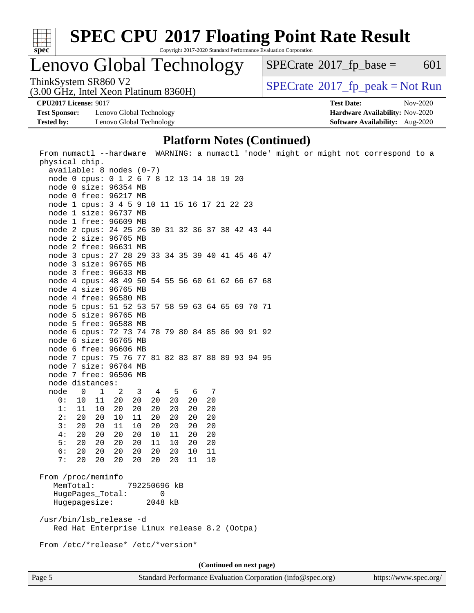

Lenovo Global Technology

 $SPECTate$ <sup>®</sup>[2017\\_fp\\_base =](http://www.spec.org/auto/cpu2017/Docs/result-fields.html#SPECrate2017fpbase) 601

(3.00 GHz, Intel Xeon Platinum 8360H)

ThinkSystem SR860 V2<br>(3.00 GHz, Intel Xeon Platinum 8360H)  $\vert$  [SPECrate](http://www.spec.org/auto/cpu2017/Docs/result-fields.html#SPECrate2017fppeak)®[2017\\_fp\\_peak = N](http://www.spec.org/auto/cpu2017/Docs/result-fields.html#SPECrate2017fppeak)ot Run

**[Test Sponsor:](http://www.spec.org/auto/cpu2017/Docs/result-fields.html#TestSponsor)** Lenovo Global Technology **[Hardware Availability:](http://www.spec.org/auto/cpu2017/Docs/result-fields.html#HardwareAvailability)** Nov-2020 **[Tested by:](http://www.spec.org/auto/cpu2017/Docs/result-fields.html#Testedby)** Lenovo Global Technology **[Software Availability:](http://www.spec.org/auto/cpu2017/Docs/result-fields.html#SoftwareAvailability)** Aug-2020

**[CPU2017 License:](http://www.spec.org/auto/cpu2017/Docs/result-fields.html#CPU2017License)** 9017 **[Test Date:](http://www.spec.org/auto/cpu2017/Docs/result-fields.html#TestDate)** Nov-2020

### **[Platform Notes \(Continued\)](http://www.spec.org/auto/cpu2017/Docs/result-fields.html#PlatformNotes)**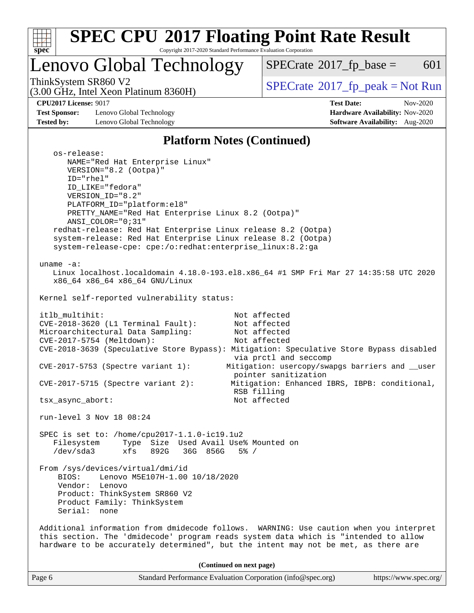

# **[SPEC CPU](http://www.spec.org/auto/cpu2017/Docs/result-fields.html#SPECCPU2017FloatingPointRateResult)[2017 Floating Point Rate Result](http://www.spec.org/auto/cpu2017/Docs/result-fields.html#SPECCPU2017FloatingPointRateResult)**

Copyright 2017-2020 Standard Performance Evaluation Corporation

# Lenovo Global Technology

 $SPECTate@2017_fp\_base = 601$ 

(3.00 GHz, Intel Xeon Platinum 8360H)

ThinkSystem SR860 V2<br>(3.00 GHz, Intel Xeon Platinum 8360H) [SPECrate](http://www.spec.org/auto/cpu2017/Docs/result-fields.html#SPECrate2017fppeak)®[2017\\_fp\\_peak = N](http://www.spec.org/auto/cpu2017/Docs/result-fields.html#SPECrate2017fppeak)ot Run

**[Test Sponsor:](http://www.spec.org/auto/cpu2017/Docs/result-fields.html#TestSponsor)** Lenovo Global Technology **[Hardware Availability:](http://www.spec.org/auto/cpu2017/Docs/result-fields.html#HardwareAvailability)** Nov-2020 **[Tested by:](http://www.spec.org/auto/cpu2017/Docs/result-fields.html#Testedby)** Lenovo Global Technology **[Software Availability:](http://www.spec.org/auto/cpu2017/Docs/result-fields.html#SoftwareAvailability)** Aug-2020

**[CPU2017 License:](http://www.spec.org/auto/cpu2017/Docs/result-fields.html#CPU2017License)** 9017 **[Test Date:](http://www.spec.org/auto/cpu2017/Docs/result-fields.html#TestDate)** Nov-2020

### **[Platform Notes \(Continued\)](http://www.spec.org/auto/cpu2017/Docs/result-fields.html#PlatformNotes)**

| os-release:<br>NAME="Red Hat Enterprise Linux"<br>VERSION="8.2 (Ootpa)"<br>ID="rhel"<br>ID_LIKE="fedora"<br>VERSION_ID="8.2"<br>PLATFORM_ID="platform:el8"<br>PRETTY_NAME="Red Hat Enterprise Linux 8.2 (Ootpa)"<br>ANSI_COLOR="0;31"<br>redhat-release: Red Hat Enterprise Linux release 8.2 (Ootpa)<br>system-release: Red Hat Enterprise Linux release 8.2 (Ootpa)<br>system-release-cpe: cpe:/o:redhat:enterprise_linux:8.2:ga |  |  |  |  |  |
|------------------------------------------------------------------------------------------------------------------------------------------------------------------------------------------------------------------------------------------------------------------------------------------------------------------------------------------------------------------------------------------------------------------------------------|--|--|--|--|--|
| uname $-a$ :<br>Linux localhost.localdomain 4.18.0-193.el8.x86_64 #1 SMP Fri Mar 27 14:35:58 UTC 2020<br>x86_64 x86_64 x86_64 GNU/Linux                                                                                                                                                                                                                                                                                            |  |  |  |  |  |
| Kernel self-reported vulnerability status:                                                                                                                                                                                                                                                                                                                                                                                         |  |  |  |  |  |
| itlb_multihit:<br>Not affected<br>CVE-2018-3620 (L1 Terminal Fault):<br>Not affected<br>Microarchitectural Data Sampling:<br>Not affected<br>CVE-2017-5754 (Meltdown):<br>Not affected<br>CVE-2018-3639 (Speculative Store Bypass): Mitigation: Speculative Store Bypass disabled                                                                                                                                                  |  |  |  |  |  |
| via prctl and seccomp<br>Mitigation: usercopy/swapgs barriers and __user<br>$CVE-2017-5753$ (Spectre variant 1):<br>pointer sanitization                                                                                                                                                                                                                                                                                           |  |  |  |  |  |
| $CVE-2017-5715$ (Spectre variant 2):<br>Mitigation: Enhanced IBRS, IBPB: conditional,<br>RSB filling                                                                                                                                                                                                                                                                                                                               |  |  |  |  |  |
| Not affected<br>tsx_async_abort:                                                                                                                                                                                                                                                                                                                                                                                                   |  |  |  |  |  |
| run-level 3 Nov 18 08:24                                                                                                                                                                                                                                                                                                                                                                                                           |  |  |  |  |  |
| SPEC is set to: /home/cpu2017-1.1.0-ic19.1u2<br>Filesystem<br>Type Size Used Avail Use% Mounted on<br>/dev/sda3<br>xfs 892G 36G 856G 5% /                                                                                                                                                                                                                                                                                          |  |  |  |  |  |
| From /sys/devices/virtual/dmi/id<br>BIOS:<br>Lenovo M5E107H-1.00 10/18/2020<br>Vendor: Lenovo<br>Product: ThinkSystem SR860 V2<br>Product Family: ThinkSystem<br>Serial:<br>none                                                                                                                                                                                                                                                   |  |  |  |  |  |
| Additional information from dmidecode follows. WARNING: Use caution when you interpret<br>this section. The 'dmidecode' program reads system data which is "intended to allow<br>hardware to be accurately determined", but the intent may not be met, as there are                                                                                                                                                                |  |  |  |  |  |
| (Continued on next page)                                                                                                                                                                                                                                                                                                                                                                                                           |  |  |  |  |  |

Page 6 Standard Performance Evaluation Corporation [\(info@spec.org\)](mailto:info@spec.org) <https://www.spec.org/>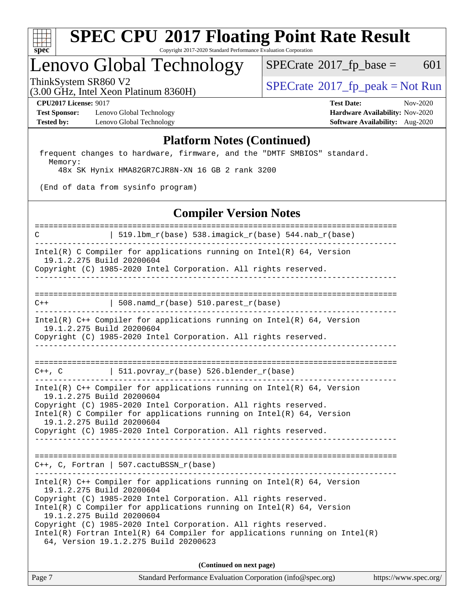

## Lenovo Global Technology

 $SPECTate$ <sup>®</sup>[2017\\_fp\\_base =](http://www.spec.org/auto/cpu2017/Docs/result-fields.html#SPECrate2017fpbase) 601

(3.00 GHz, Intel Xeon Platinum 8360H)

ThinkSystem SR860 V2<br>  $\begin{array}{c} \text{SPECTR} \\ \text{SPECTR} \\ \text{SPECTR} \end{array}$  [SPECrate](http://www.spec.org/auto/cpu2017/Docs/result-fields.html#SPECrate2017fppeak)®[2017\\_fp\\_peak = N](http://www.spec.org/auto/cpu2017/Docs/result-fields.html#SPECrate2017fppeak)ot Run

**[Test Sponsor:](http://www.spec.org/auto/cpu2017/Docs/result-fields.html#TestSponsor)** Lenovo Global Technology **[Hardware Availability:](http://www.spec.org/auto/cpu2017/Docs/result-fields.html#HardwareAvailability)** Nov-2020 **[Tested by:](http://www.spec.org/auto/cpu2017/Docs/result-fields.html#Testedby)** Lenovo Global Technology **[Software Availability:](http://www.spec.org/auto/cpu2017/Docs/result-fields.html#SoftwareAvailability)** Aug-2020

**[CPU2017 License:](http://www.spec.org/auto/cpu2017/Docs/result-fields.html#CPU2017License)** 9017 **[Test Date:](http://www.spec.org/auto/cpu2017/Docs/result-fields.html#TestDate)** Nov-2020

### **[Platform Notes \(Continued\)](http://www.spec.org/auto/cpu2017/Docs/result-fields.html#PlatformNotes)**

 frequent changes to hardware, firmware, and the "DMTF SMBIOS" standard. Memory:

48x SK Hynix HMA82GR7CJR8N-XN 16 GB 2 rank 3200

(End of data from sysinfo program)

### **[Compiler Version Notes](http://www.spec.org/auto/cpu2017/Docs/result-fields.html#CompilerVersionNotes)**

============================================================================== C  $| 519.1bm_r(base) 538.imagick_r(base) 544.nab_r(base)$ ------------------------------------------------------------------------------ Intel(R) C Compiler for applications running on Intel(R) 64, Version 19.1.2.275 Build 20200604 Copyright (C) 1985-2020 Intel Corporation. All rights reserved. ------------------------------------------------------------------------------ ==============================================================================  $C++$  | 508.namd\_r(base) 510.parest\_r(base) ------------------------------------------------------------------------------ Intel(R) C++ Compiler for applications running on Intel(R) 64, Version 19.1.2.275 Build 20200604 Copyright (C) 1985-2020 Intel Corporation. All rights reserved. ------------------------------------------------------------------------------ ==============================================================================  $C++$ ,  $C$  | 511.povray\_r(base) 526.blender\_r(base) ------------------------------------------------------------------------------ Intel(R) C++ Compiler for applications running on Intel(R) 64, Version 19.1.2.275 Build 20200604 Copyright (C) 1985-2020 Intel Corporation. All rights reserved. Intel(R) C Compiler for applications running on Intel(R) 64, Version 19.1.2.275 Build 20200604 Copyright (C) 1985-2020 Intel Corporation. All rights reserved. ------------------------------------------------------------------------------ ============================================================================== C++, C, Fortran | 507.cactuBSSN\_r(base) ------------------------------------------------------------------------------ Intel(R)  $C++$  Compiler for applications running on Intel(R) 64, Version 19.1.2.275 Build 20200604 Copyright (C) 1985-2020 Intel Corporation. All rights reserved. Intel(R) C Compiler for applications running on Intel(R)  $64$ , Version 19.1.2.275 Build 20200604 Copyright (C) 1985-2020 Intel Corporation. All rights reserved. Intel(R) Fortran Intel(R) 64 Compiler for applications running on Intel(R) 64, Version 19.1.2.275 Build 20200623

**(Continued on next page)**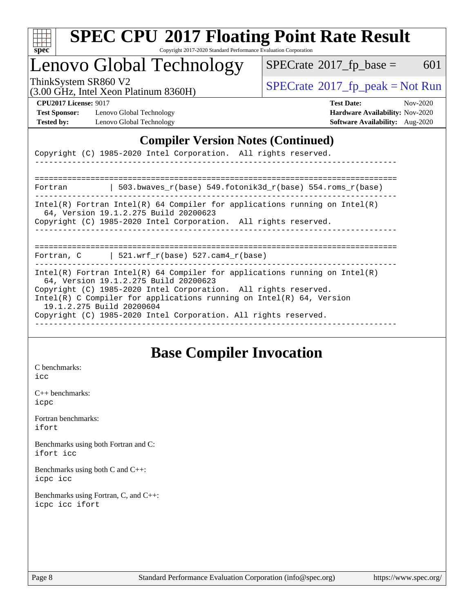

## Lenovo Global Technology

 $SPECTate$ <sup>®</sup>[2017\\_fp\\_base =](http://www.spec.org/auto/cpu2017/Docs/result-fields.html#SPECrate2017fpbase) 601

(3.00 GHz, Intel Xeon Platinum 8360H)

ThinkSystem SR860 V2<br>  $\begin{array}{c} \text{SPECTR} \\ \text{SPECTR} \\ \text{SPECTR} \end{array}$  [SPECrate](http://www.spec.org/auto/cpu2017/Docs/result-fields.html#SPECrate2017fppeak)®[2017\\_fp\\_peak = N](http://www.spec.org/auto/cpu2017/Docs/result-fields.html#SPECrate2017fppeak)ot Run

**[Test Sponsor:](http://www.spec.org/auto/cpu2017/Docs/result-fields.html#TestSponsor)** Lenovo Global Technology **[Hardware Availability:](http://www.spec.org/auto/cpu2017/Docs/result-fields.html#HardwareAvailability)** Nov-2020 **[Tested by:](http://www.spec.org/auto/cpu2017/Docs/result-fields.html#Testedby)** Lenovo Global Technology **[Software Availability:](http://www.spec.org/auto/cpu2017/Docs/result-fields.html#SoftwareAvailability)** Aug-2020

**[CPU2017 License:](http://www.spec.org/auto/cpu2017/Docs/result-fields.html#CPU2017License)** 9017 **[Test Date:](http://www.spec.org/auto/cpu2017/Docs/result-fields.html#TestDate)** Nov-2020

### **[Compiler Version Notes \(Continued\)](http://www.spec.org/auto/cpu2017/Docs/result-fields.html#CompilerVersionNotes)**

Copyright (C) 1985-2020 Intel Corporation. All rights reserved.

============================================================================== Fortran | 503.bwaves\_r(base) 549.fotonik3d\_r(base) 554.roms\_r(base) ------------------------------------------------------------------------------ Intel(R) Fortran Intel(R) 64 Compiler for applications running on Intel(R) 64, Version 19.1.2.275 Build 20200623 Copyright (C) 1985-2020 Intel Corporation. All rights reserved.

------------------------------------------------------------------------------

------------------------------------------------------------------------------

==============================================================================

Fortran,  $C$  | 521.wrf\_r(base) 527.cam4\_r(base)

------------------------------------------------------------------------------ Intel(R) Fortran Intel(R) 64 Compiler for applications running on Intel(R) 64, Version 19.1.2.275 Build 20200623 Copyright (C) 1985-2020 Intel Corporation. All rights reserved. Intel(R) C Compiler for applications running on Intel(R) 64, Version 19.1.2.275 Build 20200604 Copyright (C) 1985-2020 Intel Corporation. All rights reserved. ------------------------------------------------------------------------------

## **[Base Compiler Invocation](http://www.spec.org/auto/cpu2017/Docs/result-fields.html#BaseCompilerInvocation)**

[C benchmarks](http://www.spec.org/auto/cpu2017/Docs/result-fields.html#Cbenchmarks): [icc](http://www.spec.org/cpu2017/results/res2020q4/cpu2017-20201123-24467.flags.html#user_CCbase_intel_icc_66fc1ee009f7361af1fbd72ca7dcefbb700085f36577c54f309893dd4ec40d12360134090235512931783d35fd58c0460139e722d5067c5574d8eaf2b3e37e92)

[C++ benchmarks:](http://www.spec.org/auto/cpu2017/Docs/result-fields.html#CXXbenchmarks) [icpc](http://www.spec.org/cpu2017/results/res2020q4/cpu2017-20201123-24467.flags.html#user_CXXbase_intel_icpc_c510b6838c7f56d33e37e94d029a35b4a7bccf4766a728ee175e80a419847e808290a9b78be685c44ab727ea267ec2f070ec5dc83b407c0218cded6866a35d07)

[Fortran benchmarks](http://www.spec.org/auto/cpu2017/Docs/result-fields.html#Fortranbenchmarks): [ifort](http://www.spec.org/cpu2017/results/res2020q4/cpu2017-20201123-24467.flags.html#user_FCbase_intel_ifort_8111460550e3ca792625aed983ce982f94888b8b503583aa7ba2b8303487b4d8a21a13e7191a45c5fd58ff318f48f9492884d4413fa793fd88dd292cad7027ca)

[Benchmarks using both Fortran and C](http://www.spec.org/auto/cpu2017/Docs/result-fields.html#BenchmarksusingbothFortranandC): [ifort](http://www.spec.org/cpu2017/results/res2020q4/cpu2017-20201123-24467.flags.html#user_CC_FCbase_intel_ifort_8111460550e3ca792625aed983ce982f94888b8b503583aa7ba2b8303487b4d8a21a13e7191a45c5fd58ff318f48f9492884d4413fa793fd88dd292cad7027ca) [icc](http://www.spec.org/cpu2017/results/res2020q4/cpu2017-20201123-24467.flags.html#user_CC_FCbase_intel_icc_66fc1ee009f7361af1fbd72ca7dcefbb700085f36577c54f309893dd4ec40d12360134090235512931783d35fd58c0460139e722d5067c5574d8eaf2b3e37e92)

[Benchmarks using both C and C++](http://www.spec.org/auto/cpu2017/Docs/result-fields.html#BenchmarksusingbothCandCXX): [icpc](http://www.spec.org/cpu2017/results/res2020q4/cpu2017-20201123-24467.flags.html#user_CC_CXXbase_intel_icpc_c510b6838c7f56d33e37e94d029a35b4a7bccf4766a728ee175e80a419847e808290a9b78be685c44ab727ea267ec2f070ec5dc83b407c0218cded6866a35d07) [icc](http://www.spec.org/cpu2017/results/res2020q4/cpu2017-20201123-24467.flags.html#user_CC_CXXbase_intel_icc_66fc1ee009f7361af1fbd72ca7dcefbb700085f36577c54f309893dd4ec40d12360134090235512931783d35fd58c0460139e722d5067c5574d8eaf2b3e37e92)

[Benchmarks using Fortran, C, and C++:](http://www.spec.org/auto/cpu2017/Docs/result-fields.html#BenchmarksusingFortranCandCXX) [icpc](http://www.spec.org/cpu2017/results/res2020q4/cpu2017-20201123-24467.flags.html#user_CC_CXX_FCbase_intel_icpc_c510b6838c7f56d33e37e94d029a35b4a7bccf4766a728ee175e80a419847e808290a9b78be685c44ab727ea267ec2f070ec5dc83b407c0218cded6866a35d07) [icc](http://www.spec.org/cpu2017/results/res2020q4/cpu2017-20201123-24467.flags.html#user_CC_CXX_FCbase_intel_icc_66fc1ee009f7361af1fbd72ca7dcefbb700085f36577c54f309893dd4ec40d12360134090235512931783d35fd58c0460139e722d5067c5574d8eaf2b3e37e92) [ifort](http://www.spec.org/cpu2017/results/res2020q4/cpu2017-20201123-24467.flags.html#user_CC_CXX_FCbase_intel_ifort_8111460550e3ca792625aed983ce982f94888b8b503583aa7ba2b8303487b4d8a21a13e7191a45c5fd58ff318f48f9492884d4413fa793fd88dd292cad7027ca)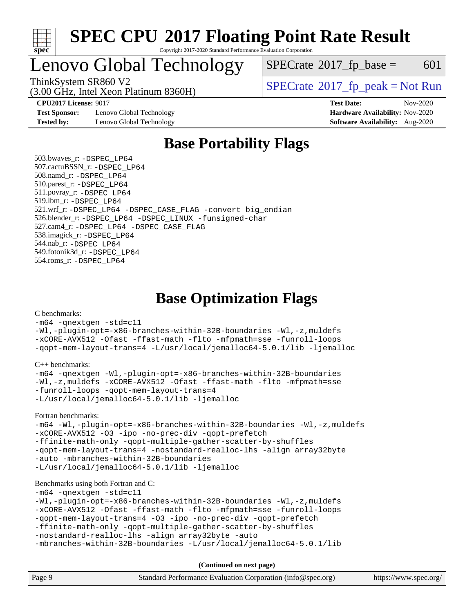

## Lenovo Global Technology

 $SPECTate@2017_fp\_base = 601$ 

(3.00 GHz, Intel Xeon Platinum 8360H)

ThinkSystem SR860 V2  $\begin{array}{c} \text{SPECrate} \textcirc 2017 \text{ fp\_peak} = \text{Not Run} \end{array}$  $\begin{array}{c} \text{SPECrate} \textcirc 2017 \text{ fp\_peak} = \text{Not Run} \end{array}$  $\begin{array}{c} \text{SPECrate} \textcirc 2017 \text{ fp\_peak} = \text{Not Run} \end{array}$ 

**[Test Sponsor:](http://www.spec.org/auto/cpu2017/Docs/result-fields.html#TestSponsor)** Lenovo Global Technology **[Hardware Availability:](http://www.spec.org/auto/cpu2017/Docs/result-fields.html#HardwareAvailability)** Nov-2020 **[Tested by:](http://www.spec.org/auto/cpu2017/Docs/result-fields.html#Testedby)** Lenovo Global Technology **[Software Availability:](http://www.spec.org/auto/cpu2017/Docs/result-fields.html#SoftwareAvailability)** Aug-2020

**[CPU2017 License:](http://www.spec.org/auto/cpu2017/Docs/result-fields.html#CPU2017License)** 9017 **[Test Date:](http://www.spec.org/auto/cpu2017/Docs/result-fields.html#TestDate)** Nov-2020

## **[Base Portability Flags](http://www.spec.org/auto/cpu2017/Docs/result-fields.html#BasePortabilityFlags)**

 503.bwaves\_r: [-DSPEC\\_LP64](http://www.spec.org/cpu2017/results/res2020q4/cpu2017-20201123-24467.flags.html#suite_basePORTABILITY503_bwaves_r_DSPEC_LP64) 507.cactuBSSN\_r: [-DSPEC\\_LP64](http://www.spec.org/cpu2017/results/res2020q4/cpu2017-20201123-24467.flags.html#suite_basePORTABILITY507_cactuBSSN_r_DSPEC_LP64) 508.namd\_r: [-DSPEC\\_LP64](http://www.spec.org/cpu2017/results/res2020q4/cpu2017-20201123-24467.flags.html#suite_basePORTABILITY508_namd_r_DSPEC_LP64) 510.parest\_r: [-DSPEC\\_LP64](http://www.spec.org/cpu2017/results/res2020q4/cpu2017-20201123-24467.flags.html#suite_basePORTABILITY510_parest_r_DSPEC_LP64) 511.povray\_r: [-DSPEC\\_LP64](http://www.spec.org/cpu2017/results/res2020q4/cpu2017-20201123-24467.flags.html#suite_basePORTABILITY511_povray_r_DSPEC_LP64) 519.lbm\_r: [-DSPEC\\_LP64](http://www.spec.org/cpu2017/results/res2020q4/cpu2017-20201123-24467.flags.html#suite_basePORTABILITY519_lbm_r_DSPEC_LP64) 521.wrf\_r: [-DSPEC\\_LP64](http://www.spec.org/cpu2017/results/res2020q4/cpu2017-20201123-24467.flags.html#suite_basePORTABILITY521_wrf_r_DSPEC_LP64) [-DSPEC\\_CASE\\_FLAG](http://www.spec.org/cpu2017/results/res2020q4/cpu2017-20201123-24467.flags.html#b521.wrf_r_baseCPORTABILITY_DSPEC_CASE_FLAG) [-convert big\\_endian](http://www.spec.org/cpu2017/results/res2020q4/cpu2017-20201123-24467.flags.html#user_baseFPORTABILITY521_wrf_r_convert_big_endian_c3194028bc08c63ac5d04de18c48ce6d347e4e562e8892b8bdbdc0214820426deb8554edfa529a3fb25a586e65a3d812c835984020483e7e73212c4d31a38223) 526.blender\_r: [-DSPEC\\_LP64](http://www.spec.org/cpu2017/results/res2020q4/cpu2017-20201123-24467.flags.html#suite_basePORTABILITY526_blender_r_DSPEC_LP64) [-DSPEC\\_LINUX](http://www.spec.org/cpu2017/results/res2020q4/cpu2017-20201123-24467.flags.html#b526.blender_r_baseCPORTABILITY_DSPEC_LINUX) [-funsigned-char](http://www.spec.org/cpu2017/results/res2020q4/cpu2017-20201123-24467.flags.html#user_baseCPORTABILITY526_blender_r_force_uchar_40c60f00ab013830e2dd6774aeded3ff59883ba5a1fc5fc14077f794d777847726e2a5858cbc7672e36e1b067e7e5c1d9a74f7176df07886a243d7cc18edfe67) 527.cam4\_r: [-DSPEC\\_LP64](http://www.spec.org/cpu2017/results/res2020q4/cpu2017-20201123-24467.flags.html#suite_basePORTABILITY527_cam4_r_DSPEC_LP64) [-DSPEC\\_CASE\\_FLAG](http://www.spec.org/cpu2017/results/res2020q4/cpu2017-20201123-24467.flags.html#b527.cam4_r_baseCPORTABILITY_DSPEC_CASE_FLAG) 538.imagick\_r: [-DSPEC\\_LP64](http://www.spec.org/cpu2017/results/res2020q4/cpu2017-20201123-24467.flags.html#suite_basePORTABILITY538_imagick_r_DSPEC_LP64) 544.nab\_r: [-DSPEC\\_LP64](http://www.spec.org/cpu2017/results/res2020q4/cpu2017-20201123-24467.flags.html#suite_basePORTABILITY544_nab_r_DSPEC_LP64) 549.fotonik3d\_r: [-DSPEC\\_LP64](http://www.spec.org/cpu2017/results/res2020q4/cpu2017-20201123-24467.flags.html#suite_basePORTABILITY549_fotonik3d_r_DSPEC_LP64) 554.roms\_r: [-DSPEC\\_LP64](http://www.spec.org/cpu2017/results/res2020q4/cpu2017-20201123-24467.flags.html#suite_basePORTABILITY554_roms_r_DSPEC_LP64)

### **[Base Optimization Flags](http://www.spec.org/auto/cpu2017/Docs/result-fields.html#BaseOptimizationFlags)**

[C benchmarks](http://www.spec.org/auto/cpu2017/Docs/result-fields.html#Cbenchmarks):

[-m64](http://www.spec.org/cpu2017/results/res2020q4/cpu2017-20201123-24467.flags.html#user_CCbase_m64-icc) [-qnextgen](http://www.spec.org/cpu2017/results/res2020q4/cpu2017-20201123-24467.flags.html#user_CCbase_f-qnextgen) [-std=c11](http://www.spec.org/cpu2017/results/res2020q4/cpu2017-20201123-24467.flags.html#user_CCbase_std-icc-std_0e1c27790398a4642dfca32ffe6c27b5796f9c2d2676156f2e42c9c44eaad0c049b1cdb667a270c34d979996257aeb8fc440bfb01818dbc9357bd9d174cb8524) [-Wl,-plugin-opt=-x86-branches-within-32B-boundaries](http://www.spec.org/cpu2017/results/res2020q4/cpu2017-20201123-24467.flags.html#user_CCbase_f-x86-branches-within-32B-boundaries_0098b4e4317ae60947b7b728078a624952a08ac37a3c797dfb4ffeb399e0c61a9dd0f2f44ce917e9361fb9076ccb15e7824594512dd315205382d84209e912f3) [-Wl,-z,muldefs](http://www.spec.org/cpu2017/results/res2020q4/cpu2017-20201123-24467.flags.html#user_CCbase_link_force_multiple1_b4cbdb97b34bdee9ceefcfe54f4c8ea74255f0b02a4b23e853cdb0e18eb4525ac79b5a88067c842dd0ee6996c24547a27a4b99331201badda8798ef8a743f577) [-xCORE-AVX512](http://www.spec.org/cpu2017/results/res2020q4/cpu2017-20201123-24467.flags.html#user_CCbase_f-xCORE-AVX512) [-Ofast](http://www.spec.org/cpu2017/results/res2020q4/cpu2017-20201123-24467.flags.html#user_CCbase_f-Ofast) [-ffast-math](http://www.spec.org/cpu2017/results/res2020q4/cpu2017-20201123-24467.flags.html#user_CCbase_f-ffast-math) [-flto](http://www.spec.org/cpu2017/results/res2020q4/cpu2017-20201123-24467.flags.html#user_CCbase_f-flto) [-mfpmath=sse](http://www.spec.org/cpu2017/results/res2020q4/cpu2017-20201123-24467.flags.html#user_CCbase_f-mfpmath_70eb8fac26bde974f8ab713bc9086c5621c0b8d2f6c86f38af0bd7062540daf19db5f3a066d8c6684be05d84c9b6322eb3b5be6619d967835195b93d6c02afa1) [-funroll-loops](http://www.spec.org/cpu2017/results/res2020q4/cpu2017-20201123-24467.flags.html#user_CCbase_f-funroll-loops) [-qopt-mem-layout-trans=4](http://www.spec.org/cpu2017/results/res2020q4/cpu2017-20201123-24467.flags.html#user_CCbase_f-qopt-mem-layout-trans_fa39e755916c150a61361b7846f310bcdf6f04e385ef281cadf3647acec3f0ae266d1a1d22d972a7087a248fd4e6ca390a3634700869573d231a252c784941a8) [-L/usr/local/jemalloc64-5.0.1/lib](http://www.spec.org/cpu2017/results/res2020q4/cpu2017-20201123-24467.flags.html#user_CCbase_jemalloc_link_path64_1_cc289568b1a6c0fd3b62c91b824c27fcb5af5e8098e6ad028160d21144ef1b8aef3170d2acf0bee98a8da324cfe4f67d0a3d0c4cc4673d993d694dc2a0df248b) [-ljemalloc](http://www.spec.org/cpu2017/results/res2020q4/cpu2017-20201123-24467.flags.html#user_CCbase_jemalloc_link_lib_d1249b907c500fa1c0672f44f562e3d0f79738ae9e3c4a9c376d49f265a04b9c99b167ecedbf6711b3085be911c67ff61f150a17b3472be731631ba4d0471706)

[C++ benchmarks:](http://www.spec.org/auto/cpu2017/Docs/result-fields.html#CXXbenchmarks)

```
-m64 -qnextgen -Wl,-plugin-opt=-x86-branches-within-32B-boundaries
-Wl,-z,muldefs -xCORE-AVX512 -Ofast -ffast-math -flto -mfpmath=sse
-funroll-loops -qopt-mem-layout-trans=4
-L/usr/local/jemalloc64-5.0.1/lib -ljemalloc
```
[Fortran benchmarks](http://www.spec.org/auto/cpu2017/Docs/result-fields.html#Fortranbenchmarks):

[-m64](http://www.spec.org/cpu2017/results/res2020q4/cpu2017-20201123-24467.flags.html#user_FCbase_m64-icc) [-Wl,-plugin-opt=-x86-branches-within-32B-boundaries](http://www.spec.org/cpu2017/results/res2020q4/cpu2017-20201123-24467.flags.html#user_FCbase_f-x86-branches-within-32B-boundaries_0098b4e4317ae60947b7b728078a624952a08ac37a3c797dfb4ffeb399e0c61a9dd0f2f44ce917e9361fb9076ccb15e7824594512dd315205382d84209e912f3) [-Wl,-z,muldefs](http://www.spec.org/cpu2017/results/res2020q4/cpu2017-20201123-24467.flags.html#user_FCbase_link_force_multiple1_b4cbdb97b34bdee9ceefcfe54f4c8ea74255f0b02a4b23e853cdb0e18eb4525ac79b5a88067c842dd0ee6996c24547a27a4b99331201badda8798ef8a743f577) [-xCORE-AVX512](http://www.spec.org/cpu2017/results/res2020q4/cpu2017-20201123-24467.flags.html#user_FCbase_f-xCORE-AVX512) [-O3](http://www.spec.org/cpu2017/results/res2020q4/cpu2017-20201123-24467.flags.html#user_FCbase_f-O3) [-ipo](http://www.spec.org/cpu2017/results/res2020q4/cpu2017-20201123-24467.flags.html#user_FCbase_f-ipo) [-no-prec-div](http://www.spec.org/cpu2017/results/res2020q4/cpu2017-20201123-24467.flags.html#user_FCbase_f-no-prec-div) [-qopt-prefetch](http://www.spec.org/cpu2017/results/res2020q4/cpu2017-20201123-24467.flags.html#user_FCbase_f-qopt-prefetch) [-ffinite-math-only](http://www.spec.org/cpu2017/results/res2020q4/cpu2017-20201123-24467.flags.html#user_FCbase_f_finite_math_only_cb91587bd2077682c4b38af759c288ed7c732db004271a9512da14a4f8007909a5f1427ecbf1a0fb78ff2a814402c6114ac565ca162485bbcae155b5e4258871) [-qopt-multiple-gather-scatter-by-shuffles](http://www.spec.org/cpu2017/results/res2020q4/cpu2017-20201123-24467.flags.html#user_FCbase_f-qopt-multiple-gather-scatter-by-shuffles) [-qopt-mem-layout-trans=4](http://www.spec.org/cpu2017/results/res2020q4/cpu2017-20201123-24467.flags.html#user_FCbase_f-qopt-mem-layout-trans_fa39e755916c150a61361b7846f310bcdf6f04e385ef281cadf3647acec3f0ae266d1a1d22d972a7087a248fd4e6ca390a3634700869573d231a252c784941a8) [-nostandard-realloc-lhs](http://www.spec.org/cpu2017/results/res2020q4/cpu2017-20201123-24467.flags.html#user_FCbase_f_2003_std_realloc_82b4557e90729c0f113870c07e44d33d6f5a304b4f63d4c15d2d0f1fab99f5daaed73bdb9275d9ae411527f28b936061aa8b9c8f2d63842963b95c9dd6426b8a) [-align array32byte](http://www.spec.org/cpu2017/results/res2020q4/cpu2017-20201123-24467.flags.html#user_FCbase_align_array32byte_b982fe038af199962ba9a80c053b8342c548c85b40b8e86eb3cc33dee0d7986a4af373ac2d51c3f7cf710a18d62fdce2948f201cd044323541f22fc0fffc51b6) [-auto](http://www.spec.org/cpu2017/results/res2020q4/cpu2017-20201123-24467.flags.html#user_FCbase_f-auto) [-mbranches-within-32B-boundaries](http://www.spec.org/cpu2017/results/res2020q4/cpu2017-20201123-24467.flags.html#user_FCbase_f-mbranches-within-32B-boundaries) [-L/usr/local/jemalloc64-5.0.1/lib](http://www.spec.org/cpu2017/results/res2020q4/cpu2017-20201123-24467.flags.html#user_FCbase_jemalloc_link_path64_1_cc289568b1a6c0fd3b62c91b824c27fcb5af5e8098e6ad028160d21144ef1b8aef3170d2acf0bee98a8da324cfe4f67d0a3d0c4cc4673d993d694dc2a0df248b) [-ljemalloc](http://www.spec.org/cpu2017/results/res2020q4/cpu2017-20201123-24467.flags.html#user_FCbase_jemalloc_link_lib_d1249b907c500fa1c0672f44f562e3d0f79738ae9e3c4a9c376d49f265a04b9c99b167ecedbf6711b3085be911c67ff61f150a17b3472be731631ba4d0471706)

#### [Benchmarks using both Fortran and C](http://www.spec.org/auto/cpu2017/Docs/result-fields.html#BenchmarksusingbothFortranandC):

[-m64](http://www.spec.org/cpu2017/results/res2020q4/cpu2017-20201123-24467.flags.html#user_CC_FCbase_m64-icc) [-qnextgen](http://www.spec.org/cpu2017/results/res2020q4/cpu2017-20201123-24467.flags.html#user_CC_FCbase_f-qnextgen) [-std=c11](http://www.spec.org/cpu2017/results/res2020q4/cpu2017-20201123-24467.flags.html#user_CC_FCbase_std-icc-std_0e1c27790398a4642dfca32ffe6c27b5796f9c2d2676156f2e42c9c44eaad0c049b1cdb667a270c34d979996257aeb8fc440bfb01818dbc9357bd9d174cb8524)

[-Wl,-plugin-opt=-x86-branches-within-32B-boundaries](http://www.spec.org/cpu2017/results/res2020q4/cpu2017-20201123-24467.flags.html#user_CC_FCbase_f-x86-branches-within-32B-boundaries_0098b4e4317ae60947b7b728078a624952a08ac37a3c797dfb4ffeb399e0c61a9dd0f2f44ce917e9361fb9076ccb15e7824594512dd315205382d84209e912f3) [-Wl,-z,muldefs](http://www.spec.org/cpu2017/results/res2020q4/cpu2017-20201123-24467.flags.html#user_CC_FCbase_link_force_multiple1_b4cbdb97b34bdee9ceefcfe54f4c8ea74255f0b02a4b23e853cdb0e18eb4525ac79b5a88067c842dd0ee6996c24547a27a4b99331201badda8798ef8a743f577) [-xCORE-AVX512](http://www.spec.org/cpu2017/results/res2020q4/cpu2017-20201123-24467.flags.html#user_CC_FCbase_f-xCORE-AVX512) [-Ofast](http://www.spec.org/cpu2017/results/res2020q4/cpu2017-20201123-24467.flags.html#user_CC_FCbase_f-Ofast) [-ffast-math](http://www.spec.org/cpu2017/results/res2020q4/cpu2017-20201123-24467.flags.html#user_CC_FCbase_f-ffast-math) [-flto](http://www.spec.org/cpu2017/results/res2020q4/cpu2017-20201123-24467.flags.html#user_CC_FCbase_f-flto) [-mfpmath=sse](http://www.spec.org/cpu2017/results/res2020q4/cpu2017-20201123-24467.flags.html#user_CC_FCbase_f-mfpmath_70eb8fac26bde974f8ab713bc9086c5621c0b8d2f6c86f38af0bd7062540daf19db5f3a066d8c6684be05d84c9b6322eb3b5be6619d967835195b93d6c02afa1) [-funroll-loops](http://www.spec.org/cpu2017/results/res2020q4/cpu2017-20201123-24467.flags.html#user_CC_FCbase_f-funroll-loops) [-qopt-mem-layout-trans=4](http://www.spec.org/cpu2017/results/res2020q4/cpu2017-20201123-24467.flags.html#user_CC_FCbase_f-qopt-mem-layout-trans_fa39e755916c150a61361b7846f310bcdf6f04e385ef281cadf3647acec3f0ae266d1a1d22d972a7087a248fd4e6ca390a3634700869573d231a252c784941a8) [-O3](http://www.spec.org/cpu2017/results/res2020q4/cpu2017-20201123-24467.flags.html#user_CC_FCbase_f-O3) [-ipo](http://www.spec.org/cpu2017/results/res2020q4/cpu2017-20201123-24467.flags.html#user_CC_FCbase_f-ipo) [-no-prec-div](http://www.spec.org/cpu2017/results/res2020q4/cpu2017-20201123-24467.flags.html#user_CC_FCbase_f-no-prec-div) [-qopt-prefetch](http://www.spec.org/cpu2017/results/res2020q4/cpu2017-20201123-24467.flags.html#user_CC_FCbase_f-qopt-prefetch) [-ffinite-math-only](http://www.spec.org/cpu2017/results/res2020q4/cpu2017-20201123-24467.flags.html#user_CC_FCbase_f_finite_math_only_cb91587bd2077682c4b38af759c288ed7c732db004271a9512da14a4f8007909a5f1427ecbf1a0fb78ff2a814402c6114ac565ca162485bbcae155b5e4258871) [-qopt-multiple-gather-scatter-by-shuffles](http://www.spec.org/cpu2017/results/res2020q4/cpu2017-20201123-24467.flags.html#user_CC_FCbase_f-qopt-multiple-gather-scatter-by-shuffles) [-nostandard-realloc-lhs](http://www.spec.org/cpu2017/results/res2020q4/cpu2017-20201123-24467.flags.html#user_CC_FCbase_f_2003_std_realloc_82b4557e90729c0f113870c07e44d33d6f5a304b4f63d4c15d2d0f1fab99f5daaed73bdb9275d9ae411527f28b936061aa8b9c8f2d63842963b95c9dd6426b8a) [-align array32byte](http://www.spec.org/cpu2017/results/res2020q4/cpu2017-20201123-24467.flags.html#user_CC_FCbase_align_array32byte_b982fe038af199962ba9a80c053b8342c548c85b40b8e86eb3cc33dee0d7986a4af373ac2d51c3f7cf710a18d62fdce2948f201cd044323541f22fc0fffc51b6) [-auto](http://www.spec.org/cpu2017/results/res2020q4/cpu2017-20201123-24467.flags.html#user_CC_FCbase_f-auto)

```
-mbranches-within-32B-boundaries -L/usr/local/jemalloc64-5.0.1/lib
```
**(Continued on next page)**

| Page 9 | Standard Performance Evaluation Corporation (info@spec.org) | https://www.spec.org/ |
|--------|-------------------------------------------------------------|-----------------------|
|        |                                                             |                       |